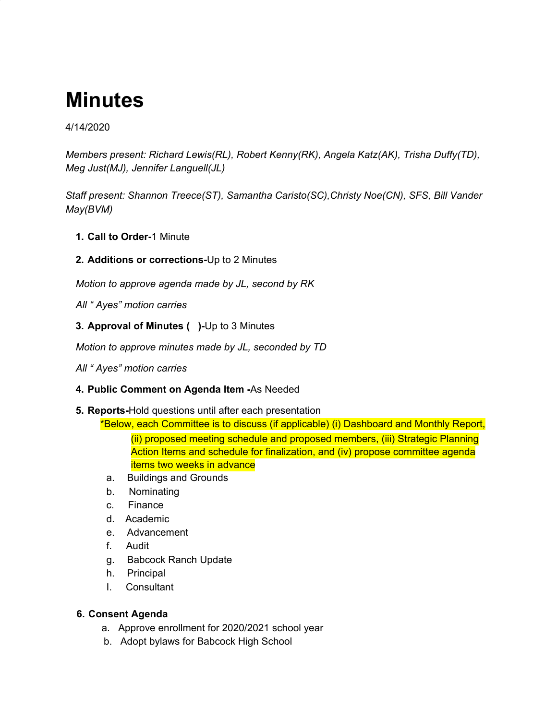# **Minutes**

## 4/14/2020

*Members present: Richard Lewis(RL), Robert Kenny(RK), Angela Katz(AK), Trisha Duffy(TD), Meg Just(MJ), Jennifer Languell(JL)*

*Staff present: Shannon Treece(ST), Samantha Caristo(SC),Christy Noe(CN), SFS, Bill Vander May(BVM)*

- **1. Call to Order-**1 Minute
- **2. Additions or corrections-**Up to 2 Minutes

*Motion to approve agenda made by JL, second by RK*

*All " Ayes" motion carries*

**3. Approval of Minutes ( )-**Up to 3 Minutes

*Motion to approve minutes made by JL, seconded by TD*

*All " Ayes" motion carries*

### **4. Public Comment on Agenda Item -**As Needed

**5. Reports-**Hold questions until after each presentation

\*Below, each Committee is to discuss (if applicable) (i) Dashboard and Monthly Report, (ii) proposed meeting schedule and proposed members, (iii) Strategic Planning Action Items and schedule for finalization, and (iv) propose committee agenda items two weeks in advance

- a. Buildings and Grounds
- b. Nominating
- c. Finance
- d. Academic
- e. Advancement
- f. Audit
- g. Babcock Ranch Update
- h. Principal
- I. Consultant

### **6. Consent Agenda**

- a. Approve enrollment for 2020/2021 school year
- b. Adopt bylaws for Babcock High School